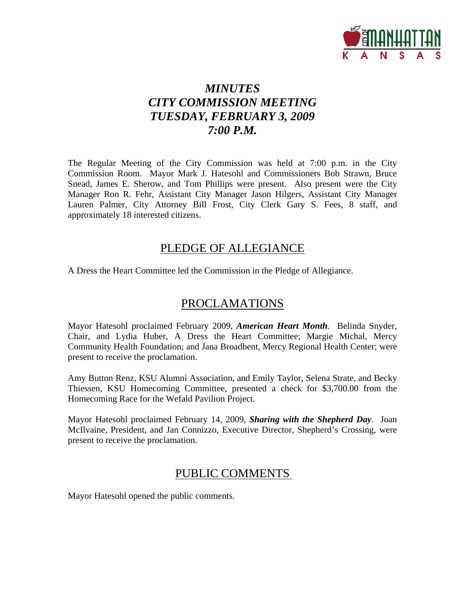

# *MINUTES CITY COMMISSION MEETING TUESDAY, FEBRUARY 3, 2009 7:00 P.M.*

The Regular Meeting of the City Commission was held at 7:00 p.m. in the City Commission Room. Mayor Mark J. Hatesohl and Commissioners Bob Strawn, Bruce Snead, James E. Sherow, and Tom Phillips were present. Also present were the City Manager Ron R. Fehr, Assistant City Manager Jason Hilgers, Assistant City Manager Lauren Palmer, City Attorney Bill Frost, City Clerk Gary S. Fees, 8 staff, and approximately 18 interested citizens.

### PLEDGE OF ALLEGIANCE

A Dress the Heart Committee led the Commission in the Pledge of Allegiance.

## PROCLAMATIONS

Mayor Hatesohl proclaimed February 2009, *American Heart Month*. Belinda Snyder, Chair, and Lydia Huber, A Dress the Heart Committee; Margie Michal, Mercy Community Health Foundation; and Jana Broadbent, Mercy Regional Health Center; were present to receive the proclamation.

Amy Button Renz, KSU Alumni Association, and Emily Taylor, Selena Strate, and Becky Thiessen, KSU Homecoming Committee, presented a check for \$3,700.00 from the Homecoming Race for the Wefald Pavilion Project.

Mayor Hatesohl proclaimed February 14, 2009, *Sharing with the Shepherd Day*. Joan McIlvaine, President, and Jan Connizzo, Executive Director, Shepherd's Crossing, were present to receive the proclamation.

### PUBLIC COMMENTS

Mayor Hatesohl opened the public comments.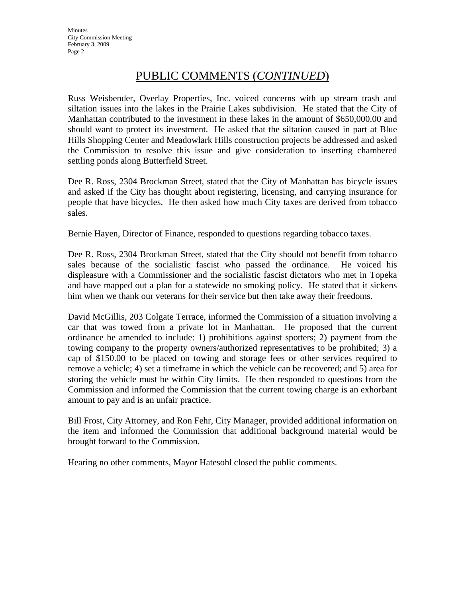# PUBLIC COMMENTS (*CONTINUED*)

Russ Weisbender, Overlay Properties, Inc. voiced concerns with up stream trash and siltation issues into the lakes in the Prairie Lakes subdivision. He stated that the City of Manhattan contributed to the investment in these lakes in the amount of \$650,000.00 and should want to protect its investment. He asked that the siltation caused in part at Blue Hills Shopping Center and Meadowlark Hills construction projects be addressed and asked the Commission to resolve this issue and give consideration to inserting chambered settling ponds along Butterfield Street.

Dee R. Ross, 2304 Brockman Street, stated that the City of Manhattan has bicycle issues and asked if the City has thought about registering, licensing, and carrying insurance for people that have bicycles. He then asked how much City taxes are derived from tobacco sales.

Bernie Hayen, Director of Finance, responded to questions regarding tobacco taxes.

Dee R. Ross, 2304 Brockman Street, stated that the City should not benefit from tobacco sales because of the socialistic fascist who passed the ordinance. He voiced his displeasure with a Commissioner and the socialistic fascist dictators who met in Topeka and have mapped out a plan for a statewide no smoking policy. He stated that it sickens him when we thank our veterans for their service but then take away their freedoms.

David McGillis, 203 Colgate Terrace, informed the Commission of a situation involving a car that was towed from a private lot in Manhattan. He proposed that the current ordinance be amended to include: 1) prohibitions against spotters; 2) payment from the towing company to the property owners/authorized representatives to be prohibited; 3) a cap of \$150.00 to be placed on towing and storage fees or other services required to remove a vehicle; 4) set a timeframe in which the vehicle can be recovered; and 5) area for storing the vehicle must be within City limits. He then responded to questions from the Commission and informed the Commission that the current towing charge is an exhorbant amount to pay and is an unfair practice.

Bill Frost, City Attorney, and Ron Fehr, City Manager, provided additional information on the item and informed the Commission that additional background material would be brought forward to the Commission.

Hearing no other comments, Mayor Hatesohl closed the public comments.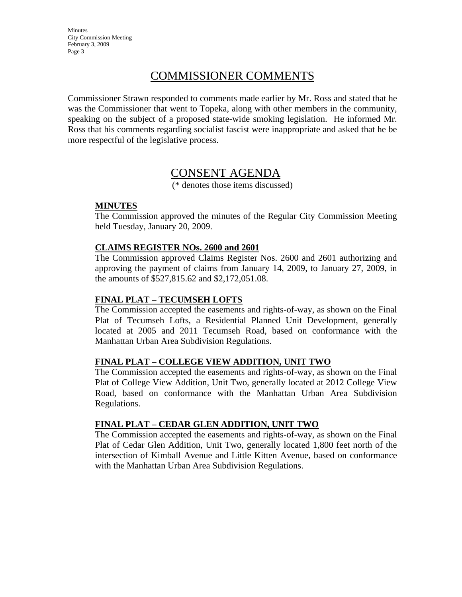**Minutes** City Commission Meeting February 3, 2009 Page 3

# COMMISSIONER COMMENTS

Commissioner Strawn responded to comments made earlier by Mr. Ross and stated that he was the Commissioner that went to Topeka, along with other members in the community, speaking on the subject of a proposed state-wide smoking legislation. He informed Mr. Ross that his comments regarding socialist fascist were inappropriate and asked that he be more respectful of the legislative process.

### CONSENT AGENDA

(\* denotes those items discussed)

### **MINUTES**

The Commission approved the minutes of the Regular City Commission Meeting held Tuesday, January 20, 2009.

#### **CLAIMS REGISTER NOs. 2600 and 2601**

The Commission approved Claims Register Nos. 2600 and 2601 authorizing and approving the payment of claims from January 14, 2009, to January 27, 2009, in the amounts of \$527,815.62 and \$2,172,051.08.

### **FINAL PLAT – TECUMSEH LOFTS**

The Commission accepted the easements and rights-of-way, as shown on the Final Plat of Tecumseh Lofts, a Residential Planned Unit Development, generally located at 2005 and 2011 Tecumseh Road, based on conformance with the Manhattan Urban Area Subdivision Regulations.

### **FINAL PLAT – COLLEGE VIEW ADDITION, UNIT TWO**

The Commission accepted the easements and rights-of-way, as shown on the Final Plat of College View Addition, Unit Two, generally located at 2012 College View Road, based on conformance with the Manhattan Urban Area Subdivision Regulations.

### **FINAL PLAT – CEDAR GLEN ADDITION, UNIT TWO**

The Commission accepted the easements and rights-of-way, as shown on the Final Plat of Cedar Glen Addition, Unit Two, generally located 1,800 feet north of the intersection of Kimball Avenue and Little Kitten Avenue, based on conformance with the Manhattan Urban Area Subdivision Regulations.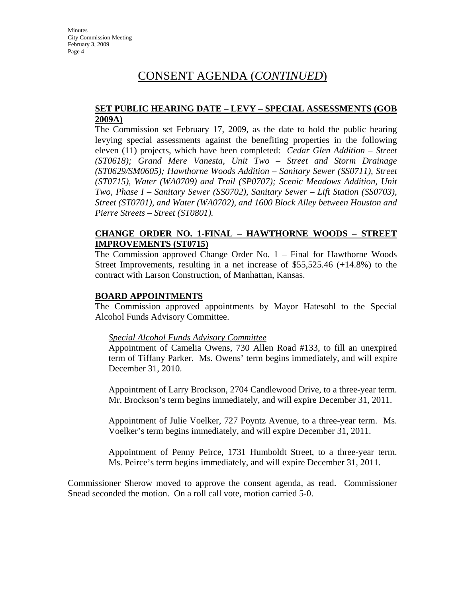## CONSENT AGENDA (*CONTINUED*)

#### **SET PUBLIC HEARING DATE – LEVY – SPECIAL ASSESSMENTS (GOB 2009A)**

The Commission set February 17, 2009, as the date to hold the public hearing levying special assessments against the benefiting properties in the following eleven (11) projects, which have been completed: *Cedar Glen Addition – Street (ST0618); Grand Mere Vanesta, Unit Two – Street and Storm Drainage (ST0629/SM0605); Hawthorne Woods Addition – Sanitary Sewer (SS0711), Street (ST0715), Water (WA0709) and Trail (SP0707); Scenic Meadows Addition, Unit Two, Phase I – Sanitary Sewer (SS0702), Sanitary Sewer – Lift Station (SS0703), Street (ST0701), and Water (WA0702), and 1600 Block Alley between Houston and Pierre Streets – Street (ST0801).* 

### **CHANGE ORDER NO. 1-FINAL – HAWTHORNE WOODS – STREET IMPROVEMENTS (ST0715)**

The Commission approved Change Order No. 1 – Final for Hawthorne Woods Street Improvements, resulting in a net increase of \$55,525.46 (+14.8%) to the contract with Larson Construction, of Manhattan, Kansas.

### **BOARD APPOINTMENTS**

The Commission approved appointments by Mayor Hatesohl to the Special Alcohol Funds Advisory Committee.

#### *Special Alcohol Funds Advisory Committee*

Appointment of Camelia Owens, 730 Allen Road #133, to fill an unexpired term of Tiffany Parker. Ms. Owens' term begins immediately, and will expire December 31, 2010.

Appointment of Larry Brockson, 2704 Candlewood Drive, to a three-year term. Mr. Brockson's term begins immediately, and will expire December 31, 2011.

Appointment of Julie Voelker, 727 Poyntz Avenue, to a three-year term. Ms. Voelker's term begins immediately, and will expire December 31, 2011.

Appointment of Penny Peirce, 1731 Humboldt Street, to a three-year term. Ms. Peirce's term begins immediately, and will expire December 31, 2011.

Commissioner Sherow moved to approve the consent agenda, as read. Commissioner Snead seconded the motion. On a roll call vote, motion carried 5-0.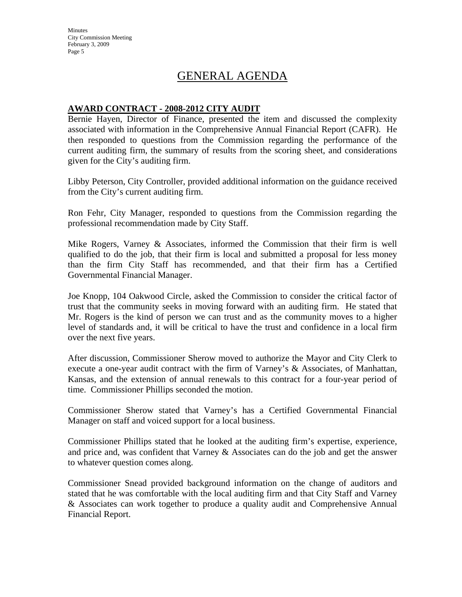**Minutes** City Commission Meeting February 3, 2009 Page 5

## GENERAL AGENDA

#### **AWARD CONTRACT - 2008-2012 CITY AUDIT**

Bernie Hayen, Director of Finance, presented the item and discussed the complexity associated with information in the Comprehensive Annual Financial Report (CAFR). He then responded to questions from the Commission regarding the performance of the current auditing firm, the summary of results from the scoring sheet, and considerations given for the City's auditing firm.

Libby Peterson, City Controller, provided additional information on the guidance received from the City's current auditing firm.

Ron Fehr, City Manager, responded to questions from the Commission regarding the professional recommendation made by City Staff.

Mike Rogers, Varney & Associates, informed the Commission that their firm is well qualified to do the job, that their firm is local and submitted a proposal for less money than the firm City Staff has recommended, and that their firm has a Certified Governmental Financial Manager.

Joe Knopp, 104 Oakwood Circle, asked the Commission to consider the critical factor of trust that the community seeks in moving forward with an auditing firm. He stated that Mr. Rogers is the kind of person we can trust and as the community moves to a higher level of standards and, it will be critical to have the trust and confidence in a local firm over the next five years.

After discussion, Commissioner Sherow moved to authorize the Mayor and City Clerk to execute a one-year audit contract with the firm of Varney's & Associates, of Manhattan, Kansas, and the extension of annual renewals to this contract for a four-year period of time. Commissioner Phillips seconded the motion.

Commissioner Sherow stated that Varney's has a Certified Governmental Financial Manager on staff and voiced support for a local business.

Commissioner Phillips stated that he looked at the auditing firm's expertise, experience, and price and, was confident that Varney & Associates can do the job and get the answer to whatever question comes along.

Commissioner Snead provided background information on the change of auditors and stated that he was comfortable with the local auditing firm and that City Staff and Varney & Associates can work together to produce a quality audit and Comprehensive Annual Financial Report.